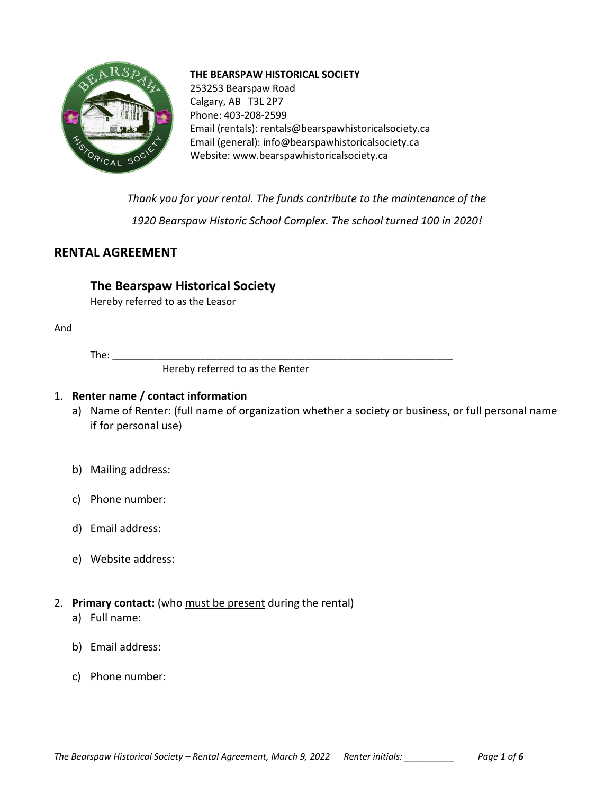

#### **THE BEARSPAW HISTORICAL SOCIETY**

253253 Bearspaw Road Calgary, AB T3L 2P7 Phone: 403-208-2599 Email (rentals)[: rentals@bearspawhistoricalsociety.ca](mailto:rentals@bearspawhistoricalsociety.ca) Email (general): info@bearspawhistoricalsociety.ca Website: www.bearspawhistoricalsociety.ca

*Thank you for your rental. The funds contribute to the maintenance of the 1920 Bearspaw Historic School Complex. The school turned 100 in 2020!*

# **RENTAL AGREEMENT**

# **The Bearspaw Historical Society**

Hereby referred to as the Leasor

And

 $The:$ 

Hereby referred to as the Renter

### 1. **Renter name / contact information**

- a) Name of Renter: (full name of organization whether a society or business, or full personal name if for personal use)
- b) Mailing address:
- c) Phone number:
- d) Email address:
- e) Website address:
- 2. **Primary contact:** (who must be present during the rental)
	- a) Full name:
	- b) Email address:
	- c) Phone number: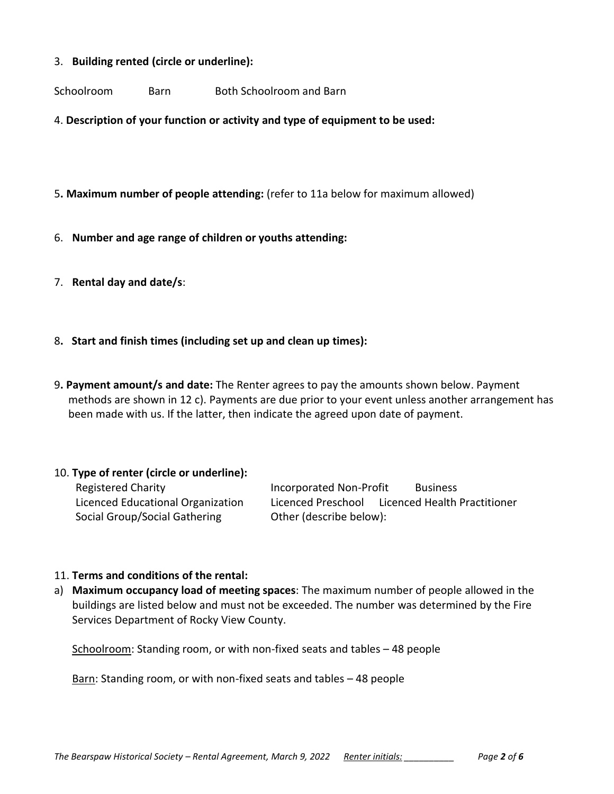#### 3. **Building rented (circle or underline):**

Schoolroom Barn Both Schoolroom and Barn

4. **Description of your function or activity and type of equipment to be used:**

- 5**. Maximum number of people attending:** (refer to 11a below for maximum allowed)
- 6. **Number and age range of children or youths attending:**
- 7. **Rental day and date/s**:
- 8**. Start and finish times (including set up and clean up times):**
- 9**. Payment amount/s and date:** The Renter agrees to pay the amounts shown below. Payment methods are shown in 12 c). Payments are due prior to your event unless another arrangement has been made with us. If the latter, then indicate the agreed upon date of payment.

#### 10. **Type of renter (circle or underline):**

Social Group/Social Gathering **Canada Carlo Price Contract** Other (describe below):

Registered Charity **Incorporated Non-Profit** Business Licenced Educational Organization Licenced Preschool Licenced Health Practitioner

#### 11. **Terms and conditions of the rental:**

a) **Maximum occupancy load of meeting spaces**: The maximum number of people allowed in the buildings are listed below and must not be exceeded. The number was determined by the Fire Services Department of Rocky View County.

Schoolroom: Standing room, or with non-fixed seats and tables – 48 people

Barn: Standing room, or with non-fixed seats and tables – 48 people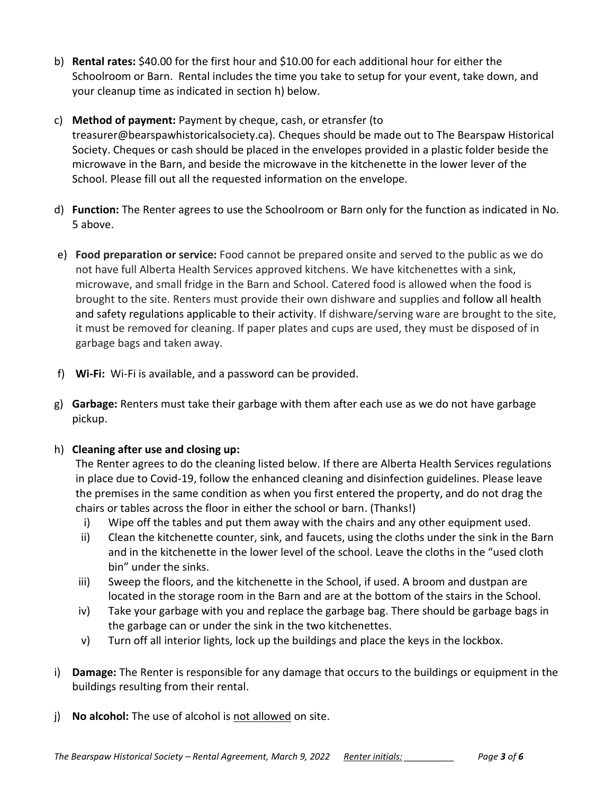- b) **Rental rates:** \$40.00 for the first hour and \$10.00 for each additional hour for either the Schoolroom or Barn. Rental includes the time you take to setup for your event, take down, and your cleanup time as indicated in section h) below.
- c) **Method of payment:** Payment by cheque, cash, or etransfer (to treasurer@bearspawhistoricalsociety.ca). Cheques should be made out to The Bearspaw Historical Society. Cheques or cash should be placed in the envelopes provided in a plastic folder beside the microwave in the Barn, and beside the microwave in the kitchenette in the lower lever of the School. Please fill out all the requested information on the envelope.
- d) **Function:** The Renter agrees to use the Schoolroom or Barn only for the function as indicated in No. 5 above.
- e) **Food preparation or service:** Food cannot be prepared onsite and served to the public as we do not have full Alberta Health Services approved kitchens. We have kitchenettes with a sink, microwave, and small fridge in the Barn and School. Catered food is allowed when the food is brought to the site. Renters must provide their own dishware and supplies and follow all health and safety regulations applicable to their activity. If dishware/serving ware are brought to the site, it must be removed for cleaning. If paper plates and cups are used, they must be disposed of in garbage bags and taken away.
- f) **Wi-Fi:** Wi-Fi is available, and a password can be provided.
- g) **Garbage:** Renters must take their garbage with them after each use as we do not have garbage pickup.
- h) **Cleaning after use and closing up:**

The Renter agrees to do the cleaning listed below. If there are Alberta Health Services regulations in place due to Covid-19, follow the enhanced cleaning and disinfection guidelines. Please leave the premises in the same condition as when you first entered the property, and do not drag the chairs or tables across the floor in either the school or barn. (Thanks!)

- i) Wipe off the tables and put them away with the chairs and any other equipment used.
- ii) Clean the kitchenette counter, sink, and faucets, using the cloths under the sink in the Barn and in the kitchenette in the lower level of the school. Leave the cloths in the "used cloth bin" under the sinks.
- iii) Sweep the floors, and the kitchenette in the School, if used. A broom and dustpan are located in the storage room in the Barn and are at the bottom of the stairs in the School.
- iv) Take your garbage with you and replace the garbage bag. There should be garbage bags in the garbage can or under the sink in the two kitchenettes.
- v) Turn off all interior lights, lock up the buildings and place the keys in the lockbox.
- i) **Damage:** The Renter is responsible for any damage that occurs to the buildings or equipment in the buildings resulting from their rental.
- j) **No alcohol:** The use of alcohol is not allowed on site.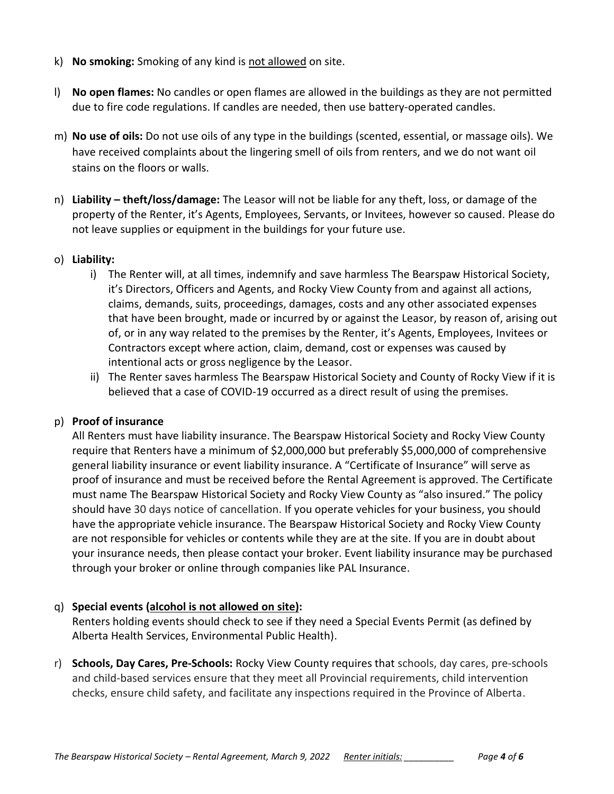- k) **No smoking:** Smoking of any kind is not allowed on site.
- l) **No open flames:** No candles or open flames are allowed in the buildings as they are not permitted due to fire code regulations. If candles are needed, then use battery-operated candles.
- m) **No use of oils:** Do not use oils of any type in the buildings (scented, essential, or massage oils). We have received complaints about the lingering smell of oils from renters, and we do not want oil stains on the floors or walls.
- n) **Liability – theft/loss/damage:** The Leasor will not be liable for any theft, loss, or damage of the property of the Renter, it's Agents, Employees, Servants, or Invitees, however so caused. Please do not leave supplies or equipment in the buildings for your future use.

### o) **Liability:**

- i) The Renter will, at all times, indemnify and save harmless The Bearspaw Historical Society, it's Directors, Officers and Agents, and Rocky View County from and against all actions, claims, demands, suits, proceedings, damages, costs and any other associated expenses that have been brought, made or incurred by or against the Leasor, by reason of, arising out of, or in any way related to the premises by the Renter, it's Agents, Employees, Invitees or Contractors except where action, claim, demand, cost or expenses was caused by intentional acts or gross negligence by the Leasor.
- ii) The Renter saves harmless The Bearspaw Historical Society and County of Rocky View if it is believed that a case of COVID-19 occurred as a direct result of using the premises.

## p) **Proof of insurance**

All Renters must have liability insurance. The Bearspaw Historical Society and Rocky View County require that Renters have a minimum of \$2,000,000 but preferably \$5,000,000 of comprehensive general liability insurance or event liability insurance. A "Certificate of Insurance" will serve as proof of insurance and must be received before the Rental Agreement is approved. The Certificate must name The Bearspaw Historical Society and Rocky View County as "also insured." The policy should have 30 days notice of cancellation. If you operate vehicles for your business, you should have the appropriate vehicle insurance. The Bearspaw Historical Society and Rocky View County are not responsible for vehicles or contents while they are at the site. If you are in doubt about your insurance needs, then please contact your broker. Event liability insurance may be purchased through your broker or online through companies like PAL Insurance.

## q) **Special events (alcohol is not allowed on site):**

Renters holding events should check to see if they need a Special Events Permit (as defined by Alberta Health Services, Environmental Public Health).

r) **Schools, Day Cares, Pre-Schools:** Rocky View County requires that schools, day cares, pre-schools and child-based services ensure that they meet all Provincial requirements, child intervention checks, ensure child safety, and facilitate any inspections required in the Province of Alberta.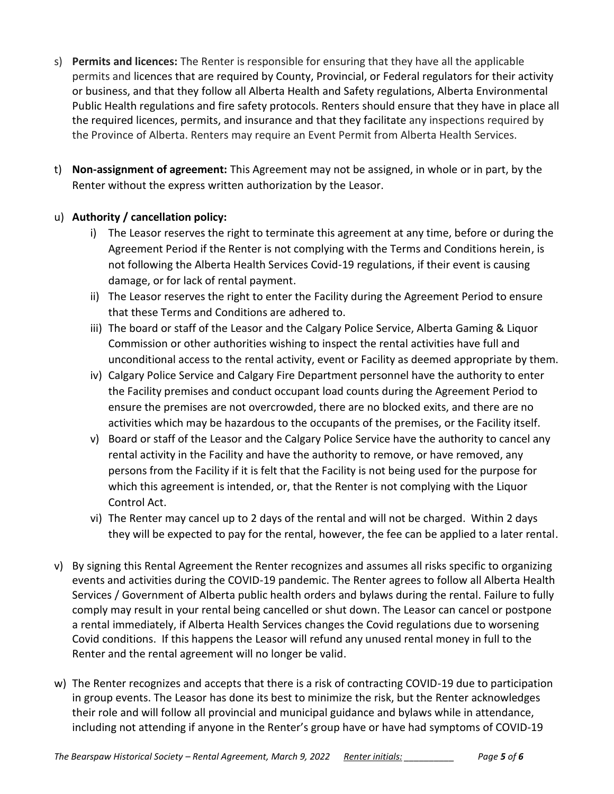- s) **Permits and licences:** The Renter is responsible for ensuring that they have all the applicable permits and licences that are required by County, Provincial, or Federal regulators for their activity or business, and that they follow all Alberta Health and Safety regulations, Alberta Environmental Public Health regulations and fire safety protocols. Renters should ensure that they have in place all the required licences, permits, and insurance and that they facilitate any inspections required by the Province of Alberta. Renters may require an Event Permit from Alberta Health Services.
- t) **Non-assignment of agreement:** This Agreement may not be assigned, in whole or in part, by the Renter without the express written authorization by the Leasor.

# u) **Authority / cancellation policy:**

- i) The Leasor reserves the right to terminate this agreement at any time, before or during the Agreement Period if the Renter is not complying with the Terms and Conditions herein, is not following the Alberta Health Services Covid-19 regulations, if their event is causing damage, or for lack of rental payment.
- ii) The Leasor reserves the right to enter the Facility during the Agreement Period to ensure that these Terms and Conditions are adhered to.
- iii) The board or staff of the Leasor and the Calgary Police Service, Alberta Gaming & Liquor Commission or other authorities wishing to inspect the rental activities have full and unconditional access to the rental activity, event or Facility as deemed appropriate by them.
- iv) Calgary Police Service and Calgary Fire Department personnel have the authority to enter the Facility premises and conduct occupant load counts during the Agreement Period to ensure the premises are not overcrowded, there are no blocked exits, and there are no activities which may be hazardous to the occupants of the premises, or the Facility itself.
- v) Board or staff of the Leasor and the Calgary Police Service have the authority to cancel any rental activity in the Facility and have the authority to remove, or have removed, any persons from the Facility if it is felt that the Facility is not being used for the purpose for which this agreement is intended, or, that the Renter is not complying with the Liquor Control Act.
- vi) The Renter may cancel up to 2 days of the rental and will not be charged. Within 2 days they will be expected to pay for the rental, however, the fee can be applied to a later rental.
- v) By signing this Rental Agreement the Renter recognizes and assumes all risks specific to organizing events and activities during the COVID-19 pandemic. The Renter agrees to follow all Alberta Health Services / Government of Alberta public health orders and bylaws during the rental. Failure to fully comply may result in your rental being cancelled or shut down. The Leasor can cancel or postpone a rental immediately, if Alberta Health Services changes the Covid regulations due to worsening Covid conditions. If this happens the Leasor will refund any unused rental money in full to the Renter and the rental agreement will no longer be valid.
- w) The Renter recognizes and accepts that there is a risk of contracting COVID-19 due to participation in group events. The Leasor has done its best to minimize the risk, but the Renter acknowledges their role and will follow all provincial and municipal guidance and bylaws while in attendance, including not attending if anyone in the Renter's group have or have had symptoms of COVID-19